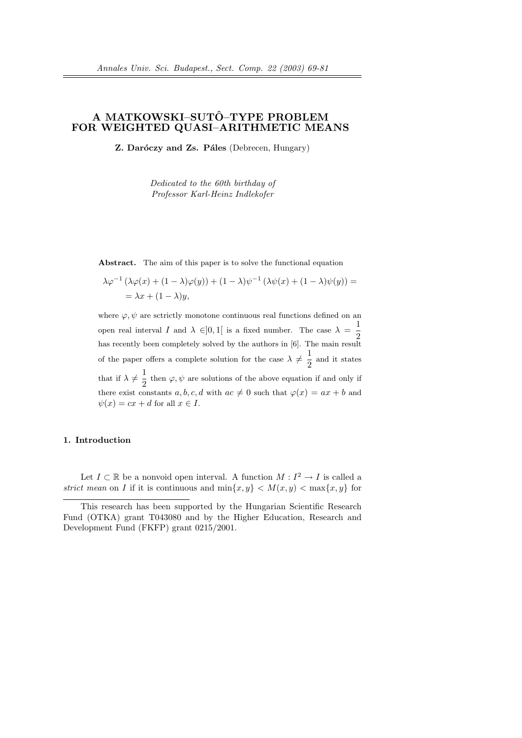# A MATKOWSKI–SUTÔ–TYPE PROBLEM FOR WEIGHTED QUASI–ARITHMETIC MEANS

 $Z.$  Daróczy and  $Zs.$  Páles (Debrecen, Hungary)

Dedicated to the 60th birthday of Professor Karl-Heinz Indlekofer

Abstract. The aim of this paper is to solve the functional equation

$$
\lambda \varphi^{-1} (\lambda \varphi(x) + (1 - \lambda)\varphi(y)) + (1 - \lambda)\psi^{-1} (\lambda \psi(x) + (1 - \lambda)\psi(y)) =
$$
  
=  $\lambda x + (1 - \lambda)y$ ,

where  $\varphi, \psi$  are sctrictly monotone continuous real functions defined on an open real interval I and  $\lambda \in ]0,1[$  is a fixed number. The case  $\lambda = \frac{1}{2}$ 2 has recently been completely solved by the authors in [6]. The main result of the paper offers a complete solution for the case  $\lambda \neq \frac{1}{2}$  $\frac{1}{2}$  and it states that if  $\lambda \neq \frac{1}{2}$  $\frac{1}{2}$  then  $\varphi, \psi$  are solutions of the above equation if and only if there exist constants  $a, b, c, d$  with  $ac \neq 0$  such that  $\varphi(x) = ax + b$  and  $\psi(x) = cx + d$  for all  $x \in I$ .

## 1. Introduction

Let  $I \subset \mathbb{R}$  be a nonvoid open interval. A function  $M : I^2 \to I$  is called a strict mean on I if it is continuous and  $\min\{x, y\} < M(x, y) < \max\{x, y\}$  for

This research has been supported by the Hungarian Scientific Research Fund (OTKA) grant T043080 and by the Higher Education, Research and Development Fund (FKFP) grant 0215/2001.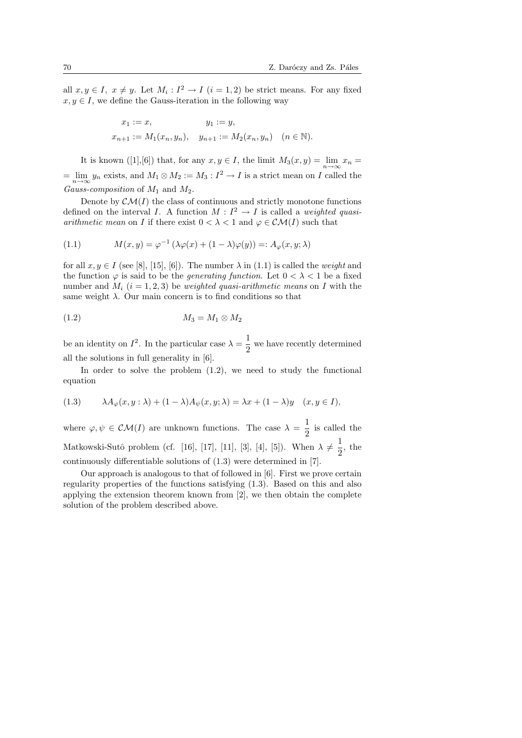all  $x, y \in I$ ,  $x \neq y$ . Let  $M_i : I^2 \to I$   $(i = 1, 2)$  be strict means. For any fixed  $x, y \in I$ , we define the Gauss-iteration in the following way

$$
x_1 := x
$$
,  $y_1 := y$ ,  
\n $x_{n+1} := M_1(x_n, y_n)$ ,  $y_{n+1} := M_2(x_n, y_n)$   $(n \in \mathbb{N})$ .

It is known ([1],[6]) that, for any  $x, y \in I$ , the limit  $M_3(x, y) = \lim_{n \to \infty} x_n =$  $=\lim_{n\to\infty}y_n$  exists, and  $M_1\otimes M_2:=M_3:I^2\to I$  is a strict mean on I called the Gauss-composition of  $M_1$  and  $M_2$ .

Denote by  $\mathcal{CM}(I)$  the class of continuous and strictly monotone functions defined on the interval I. A function  $M: I^2 \to I$  is called a weighted quasi*arithmetic mean* on I if there exist  $0 < \lambda < 1$  and  $\varphi \in \mathcal{CM}(I)$  such that

(1.1) 
$$
M(x,y) = \varphi^{-1} \left( \lambda \varphi(x) + (1 - \lambda) \varphi(y) \right) =: A_{\varphi}(x,y;\lambda)
$$

for all  $x, y \in I$  (see [8], [15], [6]). The number  $\lambda$  in (1.1) is called the weight and the function  $\varphi$  is said to be the *generating function*. Let  $0 < \lambda < 1$  be a fixed number and  $M_i$  (i = 1, 2, 3) be *weighted quasi-arithmetic means* on I with the same weight  $\lambda$ . Our main concern is to find conditions so that

$$
(1.2) \t\t M_3 = M_1 \otimes M_2
$$

be an identity on  $I^2$ . In the particular case  $\lambda = \frac{1}{2}$  $\frac{1}{2}$  we have recently determined all the solutions in full generality in [6].

In order to solve the problem  $(1.2)$ , we need to study the functional equation

(1.3) 
$$
\lambda A_{\varphi}(x, y : \lambda) + (1 - \lambda) A_{\psi}(x, y; \lambda) = \lambda x + (1 - \lambda) y \quad (x, y \in I),
$$

where  $\varphi, \psi \in \mathcal{CM}(I)$  are unknown functions. The case  $\lambda = \frac{1}{2}$  $\frac{1}{2}$  is called the Matkowski-Sutô problem (cf. [16], [17], [11], [3], [4], [5]). When  $\lambda \neq \frac{1}{2}$  $\frac{1}{2}$ , the continuously differentiable solutions of (1.3) were determined in [7].

Our approach is analogous to that of followed in [6]. First we prove certain regularity properties of the functions satisfying (1.3). Based on this and also applying the extension theorem known from [2], we then obtain the complete solution of the problem described above.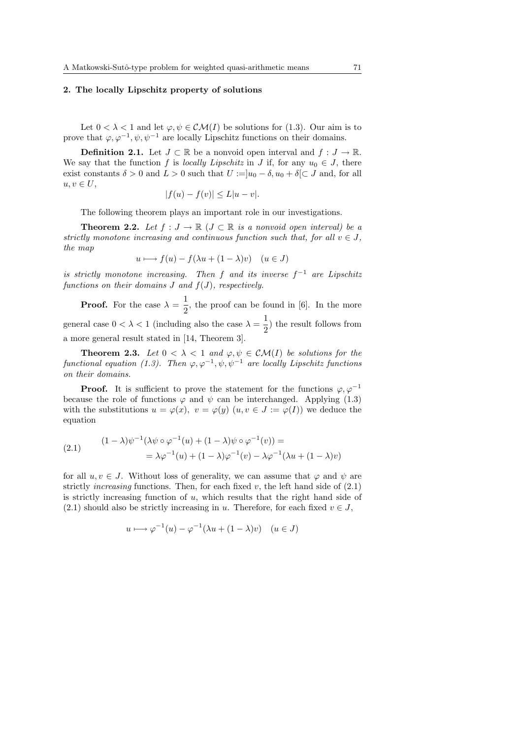## 2. The locally Lipschitz property of solutions

Let  $0 < \lambda < 1$  and let  $\varphi, \psi \in \mathcal{CM}(I)$  be solutions for (1.3). Our aim is to prove that  $\varphi, \varphi^{-1}, \psi, \psi^{-1}$  are locally Lipschitz functions on their domains.

**Definition 2.1.** Let  $J \subset \mathbb{R}$  be a nonvoid open interval and  $f : J \to \mathbb{R}$ . We say that the function f is locally Lipschitz in J if, for any  $u_0 \in J$ , there exist constants  $\delta > 0$  and  $L > 0$  such that  $U := |u_0 - \delta, u_0 + \delta| \subset J$  and, for all  $u, v \in U$ ,

$$
|f(u) - f(v)| \le L|u - v|.
$$

The following theorem plays an important role in our investigations.

**Theorem 2.2.** Let  $f: J \to \mathbb{R}$  ( $J \subset \mathbb{R}$  is a nonvoid open interval) be a strictly monotone increasing and continuous function such that, for all  $v \in J$ , the map

$$
u \longmapsto f(u) - f(\lambda u + (1 - \lambda)v) \quad (u \in J)
$$

is strictly monotone increasing. Then f and its inverse  $f^{-1}$  are Lipschitz functions on their domains  $J$  and  $f(J)$ , respectively.

**Proof.** For the case  $\lambda = \frac{1}{2}$  $\frac{1}{2}$ , the proof can be found in [6]. In the more general case  $0 < \lambda < 1$  (including also the case  $\lambda = \frac{1}{2}$  $\frac{1}{2}$ ) the result follows from a more general result stated in [14, Theorem 3].

**Theorem 2.3.** Let  $0 < \lambda < 1$  and  $\varphi, \psi \in \mathcal{CM}(I)$  be solutions for the functional equation (1.3). Then  $\varphi, \varphi^{-1}, \psi, \psi^{-1}$  are locally Lipschitz functions on their domains.

**Proof.** It is sufficient to prove the statement for the functions  $\varphi, \varphi^{-1}$ because the role of functions  $\varphi$  and  $\psi$  can be interchanged. Applying (1.3) with the substitutions  $u = \varphi(x)$ ,  $v = \varphi(y)$   $(u, v \in J := \varphi(I))$  we deduce the equation

(2.1) 
$$
(1 - \lambda)\psi^{-1}(\lambda \psi \circ \varphi^{-1}(u) + (1 - \lambda)\psi \circ \varphi^{-1}(v)) =
$$

$$
= \lambda \varphi^{-1}(u) + (1 - \lambda)\varphi^{-1}(v) - \lambda \varphi^{-1}(\lambda u + (1 - \lambda)v)
$$

for all  $u, v \in J$ . Without loss of generality, we can assume that  $\varphi$  and  $\psi$  are strictly *increasing* functions. Then, for each fixed  $v$ , the left hand side of  $(2.1)$ is strictly increasing function of  $u$ , which results that the right hand side of (2.1) should also be strictly increasing in u. Therefore, for each fixed  $v \in J$ ,

$$
u \longmapsto \varphi^{-1}(u) - \varphi^{-1}(\lambda u + (1 - \lambda)v) \quad (u \in J)
$$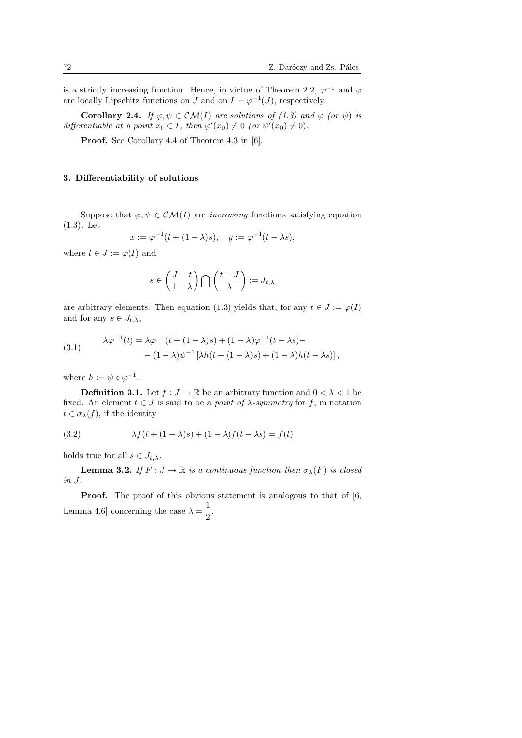is a strictly increasing function. Hence, in virtue of Theorem 2.2,  $\varphi^{-1}$  and  $\varphi$ are locally Lipschitz functions on J and on  $I = \varphi^{-1}(J)$ , respectively.

Corollary 2.4. If  $\varphi, \psi \in \mathcal{CM}(I)$  are solutions of (1.3) and  $\varphi$  (or  $\psi$ ) is differentiable at a point  $x_0 \in I$ , then  $\varphi'(x_0) \neq 0$  (or  $\psi'(x_0) \neq 0$ ).

Proof. See Corollary 4.4 of Theorem 4.3 in [6].

#### 3. Differentiability of solutions

Suppose that  $\varphi, \psi \in \mathcal{CM}(I)$  are *increasing* functions satisfying equation (1.3). Let

$$
x := \varphi^{-1}(t + (1 - \lambda)s), \quad y := \varphi^{-1}(t - \lambda s),
$$

where  $t \in J := \varphi(I)$  and

$$
s\in \left(\frac{J-t}{1-\lambda}\right)\bigcap \left(\frac{t-J}{\lambda}\right):=J_{t,\lambda}
$$

are arbitrary elements. Then equation (1.3) yields that, for any  $t \in J := \varphi(I)$ and for any  $s \in J_{t,\lambda}$ ,

(3.1) 
$$
\lambda \varphi^{-1}(t) = \lambda \varphi^{-1}(t + (1 - \lambda)s) + (1 - \lambda)\varphi^{-1}(t - \lambda s) - (1 - \lambda)\psi^{-1}[\lambda h(t + (1 - \lambda)s) + (1 - \lambda)h(t - \lambda s)],
$$

where  $h := \psi \circ \varphi^{-1}$ .

**Definition 3.1.** Let  $f: J \to \mathbb{R}$  be an arbitrary function and  $0 < \lambda < 1$  be fixed. An element  $t \in J$  is said to be a *point of*  $\lambda$ -symmetry for f, in notation  $t \in \sigma_{\lambda}(f)$ , if the identity

(3.2) 
$$
\lambda f(t + (1 - \lambda)s) + (1 - \lambda)f(t - \lambda s) = f(t)
$$

holds true for all  $s \in J_{t,\lambda}$ .

**Lemma 3.2.** If  $F: J \to \mathbb{R}$  is a continuous function then  $\sigma_{\lambda}(F)$  is closed in J.

**Proof.** The proof of this obvious statement is analogous to that of [6, Lemma 4.6 concerning the case  $\lambda = \frac{1}{2}$  $\frac{1}{2}$ .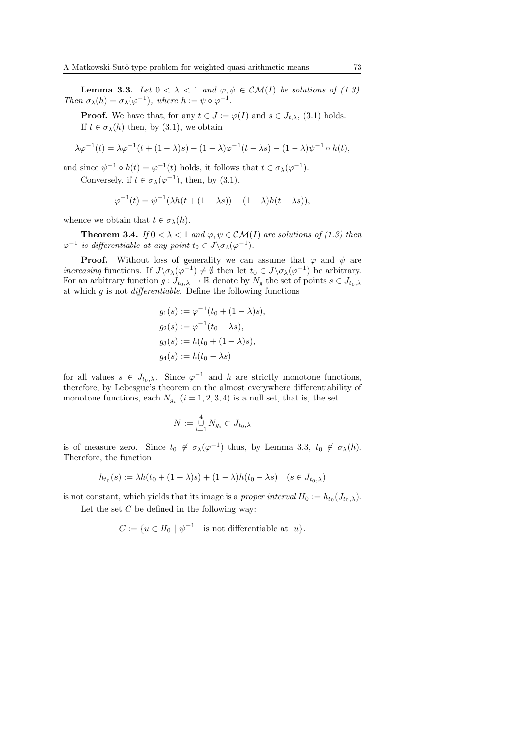**Lemma 3.3.** Let  $0 < \lambda < 1$  and  $\varphi, \psi \in \mathcal{CM}(I)$  be solutions of (1.3). Then  $\sigma_{\lambda}(h) = \sigma_{\lambda}(\varphi^{-1}),$  where  $h := \psi \circ \varphi^{-1}.$ 

**Proof.** We have that, for any  $t \in J := \varphi(I)$  and  $s \in J_{t,\lambda}$ , (3.1) holds. If  $t \in \sigma_{\lambda}(h)$  then, by (3.1), we obtain

$$
\lambda \varphi^{-1}(t) = \lambda \varphi^{-1}(t + (1 - \lambda)s) + (1 - \lambda)\varphi^{-1}(t - \lambda s) - (1 - \lambda)\psi^{-1} \circ h(t),
$$

and since  $\psi^{-1} \circ h(t) = \varphi^{-1}(t)$  holds, it follows that  $t \in \sigma_{\lambda}(\varphi^{-1})$ .

Conversely, if  $t \in \sigma_{\lambda}(\varphi^{-1})$ , then, by  $(3.1)$ ,

$$
\varphi^{-1}(t) = \psi^{-1}(\lambda h(t + (1 - \lambda s)) + (1 - \lambda)h(t - \lambda s)),
$$

whence we obtain that  $t \in \sigma_{\lambda}(h)$ .

**Theorem 3.4.** If  $0 < \lambda < 1$  and  $\varphi, \psi \in \mathcal{CM}(I)$  are solutions of (1.3) then  $\varphi^{-1}$  is differentiable at any point  $t_0 \in J \backslash \sigma_\lambda(\varphi^{-1})$ .

**Proof.** Without loss of generality we can assume that  $\varphi$  and  $\psi$  are *increasing* functions. If  $J\backslash \sigma_\lambda(\varphi^{-1}) \neq \emptyset$  then let  $t_0 \in J\backslash \sigma_\lambda(\varphi^{-1})$  be arbitrary. For an arbitrary function  $g: J_{t_0,\lambda} \to \mathbb{R}$  denote by  $N_g$  the set of points  $s \in J_{t_0,\lambda}$ at which  $g$  is not *differentiable*. Define the following functions

$$
g_1(s) := \varphi^{-1}(t_0 + (1 - \lambda)s),
$$
  
\n
$$
g_2(s) := \varphi^{-1}(t_0 - \lambda s),
$$
  
\n
$$
g_3(s) := h(t_0 + (1 - \lambda)s),
$$
  
\n
$$
g_4(s) := h(t_0 - \lambda s)
$$

for all values  $s \in J_{t_0,\lambda}$ . Since  $\varphi^{-1}$  and h are strictly monotone functions, therefore, by Lebesgue's theorem on the almost everywhere differentiability of monotone functions, each  $N_{g_i}$   $(i = 1, 2, 3, 4)$  is a null set, that is, the set

$$
N := \bigcup_{i=1}^4 N_{g_i} \subset J_{t_0,\lambda}
$$

is of measure zero. Since  $t_0 \notin \sigma_\lambda(\varphi^{-1})$  thus, by Lemma 3.3,  $t_0 \notin \sigma_\lambda(h)$ . Therefore, the function

$$
h_{t_0}(s) := \lambda h(t_0 + (1 - \lambda)s) + (1 - \lambda)h(t_0 - \lambda s) \quad (s \in J_{t_0, \lambda})
$$

is not constant, which yields that its image is a *proper interval*  $H_0 := h_{t_0}(J_{t_0,\lambda}).$ 

Let the set  $C$  be defined in the following way:

$$
C := \{ u \in H_0 \mid \psi^{-1} \text{ is not differentiable at } u \}.
$$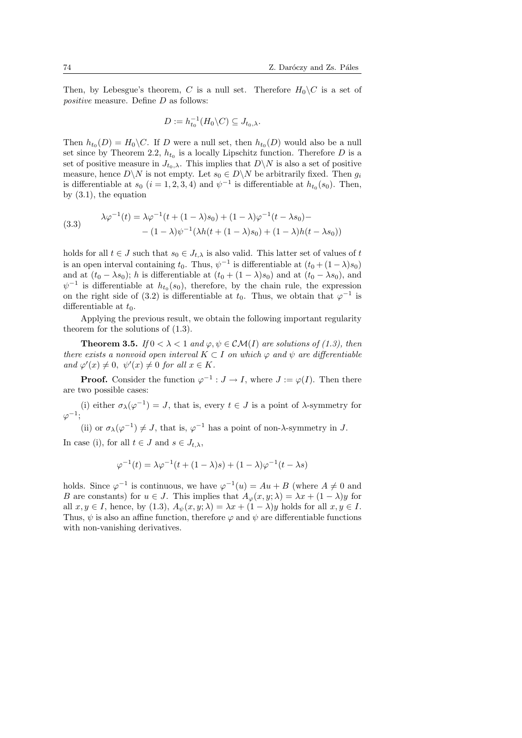Then, by Lebesgue's theorem, C is a null set. Therefore  $H_0\backslash C$  is a set of positive measure. Define D as follows:

$$
D := h_{t_0}^{-1}(H_0 \backslash C) \subseteq J_{t_0,\lambda}.
$$

Then  $h_{t_0}(D) = H_0 \backslash C$ . If D were a null set, then  $h_{t_0}(D)$  would also be a null set since by Theorem 2.2,  $h_{t_0}$  is a locally Lipschitz function. Therefore D is a set of positive measure in  $J_{t_0,\lambda}$ . This implies that  $D\setminus N$  is also a set of positive measure, hence  $D\backslash N$  is not empty. Let  $s_0 \in D\backslash N$  be arbitrarily fixed. Then  $g_i$ is differentiable at  $s_0$   $(i = 1, 2, 3, 4)$  and  $\psi^{-1}$  is differentiable at  $h_{t_0}(s_0)$ . Then, by (3.1), the equation

(3.3) 
$$
\lambda \varphi^{-1}(t) = \lambda \varphi^{-1}(t + (1 - \lambda)s_0) + (1 - \lambda)\varphi^{-1}(t - \lambda s_0) - (1 - \lambda)\psi^{-1}(\lambda h(t + (1 - \lambda)s_0) + (1 - \lambda)h(t - \lambda s_0))
$$

holds for all  $t \in J$  such that  $s_0 \in J_{t,\lambda}$  is also valid. This latter set of values of t is an open interval containing  $t_0$ . Thus,  $\psi^{-1}$  is differentiable at  $(t_0 + (1 - \lambda)s_0)$ and at  $(t_0 - \lambda s_0)$ ; h is differentiable at  $(t_0 + (1 - \lambda)s_0)$  and at  $(t_0 - \lambda s_0)$ , and  $\psi^{-1}$  is differentiable at  $h_{t_0}(s_0)$ , therefore, by the chain rule, the expression on the right side of (3.2) is differentiable at  $t_0$ . Thus, we obtain that  $\varphi^{-1}$  is differentiable at  $t_0$ .

Applying the previous result, we obtain the following important regularity theorem for the solutions of (1.3).

**Theorem 3.5.** If  $0 < \lambda < 1$  and  $\varphi, \psi \in \mathcal{CM}(I)$  are solutions of (1.3), then there exists a nonvoid open interval  $K \subset I$  on which  $\varphi$  and  $\psi$  are differentiable and  $\varphi'(x) \neq 0$ ,  $\psi'(x) \neq 0$  for all  $x \in K$ .

**Proof.** Consider the function  $\varphi^{-1}: J \to I$ , where  $J := \varphi(I)$ . Then there are two possible cases:

(i) either  $\sigma_{\lambda}(\varphi^{-1}) = J$ , that is, every  $t \in J$  is a point of  $\lambda$ -symmetry for  $\varphi^{-1}$ ;

(ii) or  $\sigma_{\lambda}(\varphi^{-1}) \neq J$ , that is,  $\varphi^{-1}$  has a point of non- $\lambda$ -symmetry in J.

In case (i), for all  $t \in J$  and  $s \in J_{t,\lambda}$ ,

$$
\varphi^{-1}(t) = \lambda \varphi^{-1}(t + (1 - \lambda)s) + (1 - \lambda)\varphi^{-1}(t - \lambda s)
$$

holds. Since  $\varphi^{-1}$  is continuous, we have  $\varphi^{-1}(u) = Au + B$  (where  $A \neq 0$  and B are constants) for  $u \in J$ . This implies that  $A_{\varphi}(x, y; \lambda) = \lambda x + (1 - \lambda)y$  for all  $x, y \in I$ , hence, by (1.3),  $A_{\psi}(x, y; \lambda) = \lambda x + (1 - \lambda)y$  holds for all  $x, y \in I$ . Thus,  $\psi$  is also an affine function, therefore  $\varphi$  and  $\psi$  are differentiable functions with non-vanishing derivatives.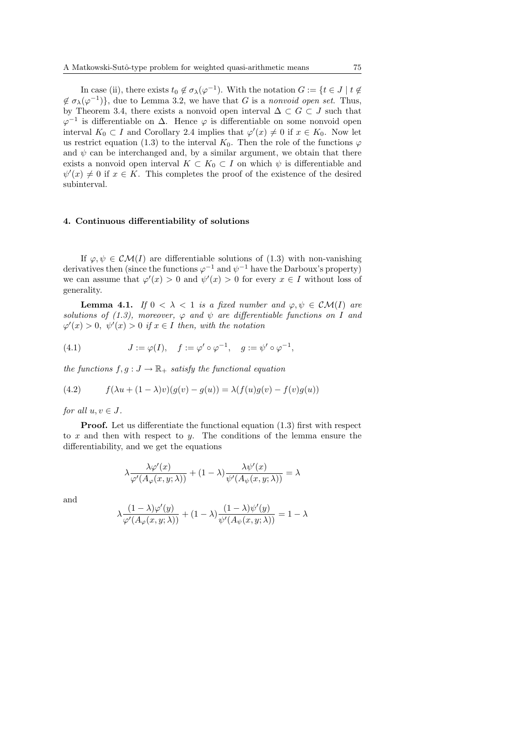In case (ii), there exists  $t_0 \notin \sigma_\lambda(\varphi^{-1})$ . With the notation  $G := \{t \in J \mid t \notin \varphi\}$  $\notin \sigma_{\lambda}(\varphi^{-1})\},\$ due to Lemma 3.2, we have that G is a nonvoid open set. Thus, by Theorem 3.4, there exists a nonvoid open interval  $\Delta \subset G \subset J$  such that  $\varphi^{-1}$  is differentiable on  $\Delta$ . Hence  $\varphi$  is differentiable on some nonvoid open interval  $K_0 \subset I$  and Corollary 2.4 implies that  $\varphi'(x) \neq 0$  if  $x \in K_0$ . Now let us restrict equation (1.3) to the interval  $K_0$ . Then the role of the functions  $\varphi$ and  $\psi$  can be interchanged and, by a similar argument, we obtain that there exists a nonvoid open interval  $K \subset K_0 \subset I$  on which  $\psi$  is differentiable and  $\psi'(x) \neq 0$  if  $x \in K$ . This completes the proof of the existence of the desired subinterval.

### 4. Continuous differentiability of solutions

If  $\varphi, \psi \in \mathcal{CM}(I)$  are differentiable solutions of (1.3) with non-vanishing derivatives then (since the functions  $\varphi^{-1}$  and  $\psi^{-1}$  have the Darboux's property) we can assume that  $\varphi'(x) > 0$  and  $\psi'(x) > 0$  for every  $x \in I$  without loss of generality.

**Lemma 4.1.** If  $0 < \lambda < 1$  is a fixed number and  $\varphi, \psi \in \mathcal{CM}(I)$  are solutions of (1.3), moreover,  $\varphi$  and  $\psi$  are differentiable functions on I and  $\varphi'(x) > 0$ ,  $\psi'(x) > 0$  if  $x \in I$  then, with the notation

(4.1) 
$$
J := \varphi(I), \quad f := \varphi' \circ \varphi^{-1}, \quad g := \psi' \circ \varphi^{-1},
$$

the functions  $f, g: J \to \mathbb{R}_+$  satisfy the functional equation

(4.2) 
$$
f(\lambda u + (1 - \lambda)v)(g(v) - g(u)) = \lambda(f(u)g(v) - f(v)g(u))
$$

for all  $u, v \in J$ .

**Proof.** Let us differentiate the functional equation (1.3) first with respect to  $x$  and then with respect to  $y$ . The conditions of the lemma ensure the differentiability, and we get the equations

$$
\lambda \frac{\lambda \varphi'(x)}{\varphi'(A_{\varphi}(x,y;\lambda))}+(1-\lambda)\frac{\lambda \psi'(x)}{\psi'(A_{\psi}(x,y;\lambda))}=\lambda
$$

and

$$
\lambda \frac{(1-\lambda) \varphi'(y)}{\varphi'(A_{\varphi}(x,y;\lambda))}+(1-\lambda) \frac{(1-\lambda) \psi'(y)}{\psi'(A_{\psi}(x,y;\lambda))}=1-\lambda
$$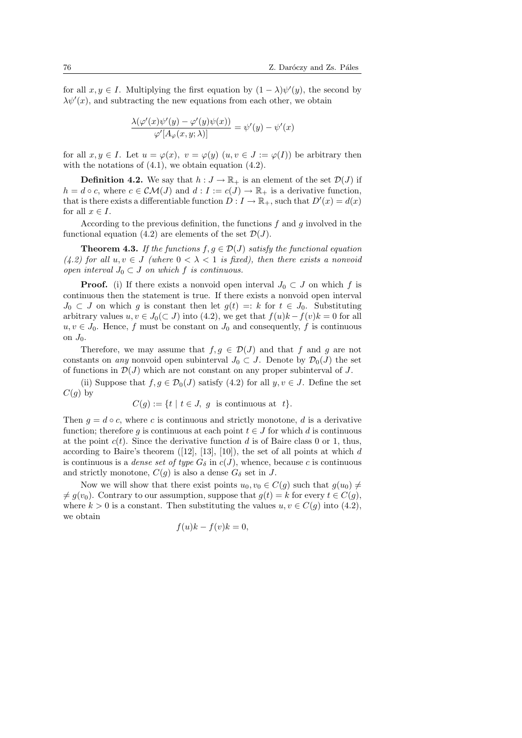for all  $x, y \in I$ . Multiplying the first equation by  $(1 - \lambda)\psi'(y)$ , the second by  $\lambda \psi'(x)$ , and subtracting the new equations from each other, we obtain

$$
\frac{\lambda(\varphi'(x)\psi'(y) - \varphi'(y)\psi(x))}{\varphi'[A_{\varphi}(x, y; \lambda)]} = \psi'(y) - \psi'(x)
$$

for all  $x, y \in I$ . Let  $u = \varphi(x), v = \varphi(y)$   $(u, v \in J := \varphi(I))$  be arbitrary then with the notations of  $(4.1)$ , we obtain equation  $(4.2)$ .

**Definition 4.2.** We say that  $h: J \to \mathbb{R}_+$  is an element of the set  $\mathcal{D}(J)$  if  $h = d \circ c$ , where  $c \in \mathcal{CM}(J)$  and  $d : I := c(J) \to \mathbb{R}_+$  is a derivative function, that is there exists a differentiable function  $D: I \to \mathbb{R}_+$ , such that  $D'(x) = d(x)$ for all  $x \in I$ .

According to the previous definition, the functions  $f$  and  $g$  involved in the functional equation (4.2) are elements of the set  $\mathcal{D}(J)$ .

**Theorem 4.3.** If the functions  $f, g \in \mathcal{D}(J)$  satisfy the functional equation (4.2) for all  $u, v \in J$  (where  $0 < \lambda < 1$  is fixed), then there exists a nonvoid open interval  $J_0 \subset J$  on which f is continuous.

**Proof.** (i) If there exists a nonvoid open interval  $J_0 \subset J$  on which f is continuous then the statement is true. If there exists a nonvoid open interval  $J_0 \subset J$  on which g is constant then let  $g(t) =: k$  for  $t \in J_0$ . Substituting arbitrary values  $u, v \in J_0(\subset J)$  into (4.2), we get that  $f(u)k - f(v)k = 0$  for all  $u, v \in J_0$ . Hence, f must be constant on  $J_0$  and consequently, f is continuous on  $J_0$ .

Therefore, we may assume that  $f, g \in \mathcal{D}(J)$  and that f and g are not constants on any nonvoid open subinterval  $J_0 \subset J$ . Denote by  $\mathcal{D}_0(J)$  the set of functions in  $\mathcal{D}(J)$  which are not constant on any proper subinterval of J.

(ii) Suppose that  $f, g \in \mathcal{D}_0(J)$  satisfy  $(4.2)$  for all  $y, v \in J$ . Define the set  $C(g)$  by

$$
C(g) := \{ t \mid t \in J, g \text{ is continuous at } t \}.
$$

Then  $g = d \circ c$ , where c is continuous and strictly monotone, d is a derivative function; therefore g is continuous at each point  $t \in J$  for which d is continuous at the point  $c(t)$ . Since the derivative function d is of Baire class 0 or 1, thus, according to Baire's theorem  $([12], [13], [10])$ , the set of all points at which d is continuous is a *dense set of type*  $G_{\delta}$  in  $c(J)$ , whence, because c is continuous and strictly monotone,  $C(g)$  is also a dense  $G_{\delta}$  set in J.

Now we will show that there exist points  $u_0, v_0 \in C(g)$  such that  $g(u_0) \neq$  $\neq g(v_0)$ . Contrary to our assumption, suppose that  $g(t) = k$  for every  $t \in C(g)$ , where  $k > 0$  is a constant. Then substituting the values  $u, v \in C(g)$  into (4.2), we obtain

$$
f(u)k - f(v)k = 0,
$$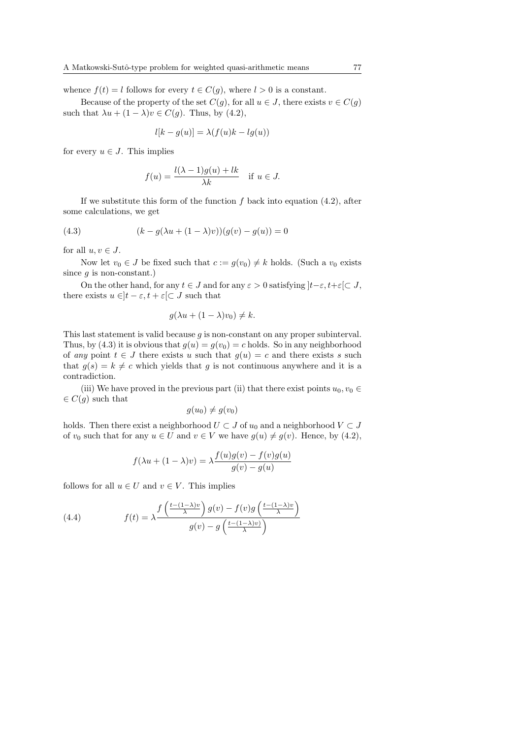whence  $f(t) = l$  follows for every  $t \in C(g)$ , where  $l > 0$  is a constant.

Because of the property of the set  $C(g)$ , for all  $u \in J$ , there exists  $v \in C(g)$ such that  $\lambda u + (1 - \lambda)v \in C(g)$ . Thus, by (4.2),

$$
l[k - g(u)] = \lambda(f(u)k - lg(u))
$$

for every  $u \in J$ . This implies

$$
f(u) = \frac{l(\lambda - 1)g(u) + lk}{\lambda k} \quad \text{if } u \in J.
$$

If we substitute this form of the function  $f$  back into equation  $(4.2)$ , after some calculations, we get

(4.3) 
$$
(k - g(\lambda u + (1 - \lambda)v))(g(v) - g(u)) = 0
$$

for all  $u, v \in J$ .

Now let  $v_0 \in J$  be fixed such that  $c := g(v_0) \neq k$  holds. (Such a  $v_0$  exists since  $g$  is non-constant.)

On the other hand, for any  $t \in J$  and for any  $\varepsilon > 0$  satisfying  $|t-\varepsilon, t+\varepsilon| \subset J$ , there exists  $u \in ]t - \varepsilon, t + \varepsilon[\subset J]$  such that

$$
g(\lambda u + (1 - \lambda)v_0) \neq k.
$$

This last statement is valid because g is non-constant on any proper subinterval. Thus, by (4.3) it is obvious that  $g(u) = g(v_0) = c$  holds. So in any neighborhood of any point  $t \in J$  there exists u such that  $q(u) = c$  and there exists s such that  $g(s) = k \neq c$  which yields that g is not continuous anywhere and it is a contradiction.

(iii) We have proved in the previous part (ii) that there exist points  $u_0, v_0 \in$  $\in C(q)$  such that

$$
g(u_0) \neq g(v_0)
$$

holds. Then there exist a neighborhood  $U \subset J$  of  $u_0$  and a neighborhood  $V \subset J$ of  $v_0$  such that for any  $u \in U$  and  $v \in V$  we have  $g(u) \neq g(v)$ . Hence, by (4.2),

$$
f(\lambda u + (1 - \lambda)v) = \lambda \frac{f(u)g(v) - f(v)g(u)}{g(v) - g(u)}
$$

follows for all  $u \in U$  and  $v \in V$ . This implies

(4.4) 
$$
f(t) = \lambda \frac{f\left(\frac{t - (1 - \lambda)v}{\lambda}\right)g(v) - f(v)g\left(\frac{t - (1 - \lambda)v}{\lambda}\right)}{g(v) - g\left(\frac{t - (1 - \lambda)v}{\lambda}\right)}
$$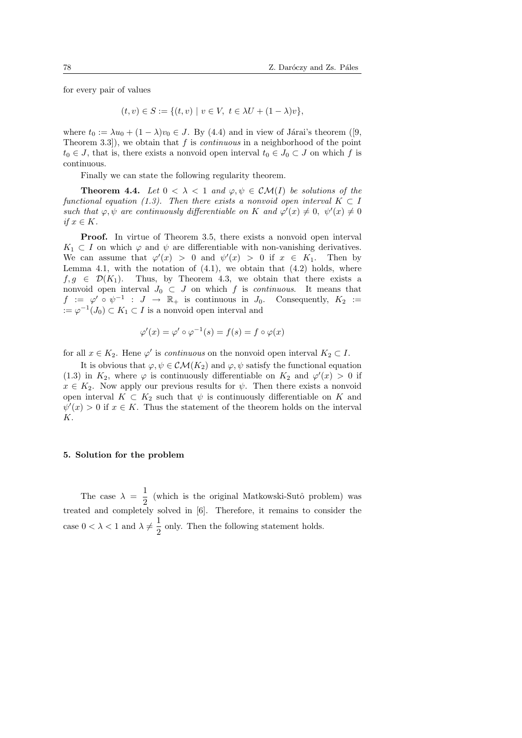for every pair of values

$$
(t, v) \in S := \{(t, v) \mid v \in V, \ t \in \lambda U + (1 - \lambda)v\},\
$$

where  $t_0 := \lambda u_0 + (1 - \lambda)v_0 \in J$ . By (4.4) and in view of Járai's theorem ([9, Theorem 3.3, we obtain that f is *continuous* in a neighborhood of the point  $t_0 \in J$ , that is, there exists a nonvoid open interval  $t_0 \in J_0 \subset J$  on which f is continuous.

Finally we can state the following regularity theorem.

**Theorem 4.4.** Let  $0 < \lambda < 1$  and  $\varphi, \psi \in \mathcal{CM}(I)$  be solutions of the functional equation (1.3). Then there exists a nonvoid open interval  $K \subset I$ such that  $\varphi, \psi$  are continuously differentiable on K and  $\varphi'(x) \neq 0, \ \psi'(x) \neq 0$ if  $x \in K$ .

**Proof.** In virtue of Theorem 3.5, there exists a nonvoid open interval  $K_1 \subset I$  on which  $\varphi$  and  $\psi$  are differentiable with non-vanishing derivatives. We can assume that  $\varphi'(x) > 0$  and  $\psi'(x) > 0$  if  $x \in K_1$ . Then by Lemma 4.1, with the notation of  $(4.1)$ , we obtain that  $(4.2)$  holds, where  $f, g \in \mathcal{D}(K_1)$ . Thus, by Theorem 4.3, we obtain that there exists a nonvoid open interval  $J_0 \subset J$  on which f is *continuous*. It means that  $f := \varphi' \circ \psi^{-1} : J \to \mathbb{R}_+$  is continuous in  $J_0$ . Consequently,  $K_2 :=$  $:= \varphi^{-1}(J_0) \subset K_1 \subset I$  is a nonvoid open interval and

$$
\varphi'(x) = \varphi' \circ \varphi^{-1}(s) = f(s) = f \circ \varphi(x)
$$

for all  $x \in K_2$ . Hene  $\varphi'$  is *continuous* on the nonvoid open interval  $K_2 \subset I$ .

It is obvious that  $\varphi, \psi \in \mathcal{CM}(K_2)$  and  $\varphi, \psi$  satisfy the functional equation (1.3) in  $K_2$ , where  $\varphi$  is continuously differentiable on  $K_2$  and  $\varphi'(x) > 0$  if  $x \in K_2$ . Now apply our previous results for  $\psi$ . Then there exists a nonvoid open interval  $K \subset K_2$  such that  $\psi$  is continuously differentiable on K and  $\psi'(x) > 0$  if  $x \in K$ . Thus the statement of the theorem holds on the interval K.

#### 5. Solution for the problem

The case  $\lambda = \frac{1}{2}$  $\frac{1}{2}$  (which is the original Matkowski-Sutô problem) was treated and completely solved in [6]. Therefore, it remains to consider the case  $0 < \lambda < 1$  and  $\lambda \neq \frac{1}{2}$  $\frac{1}{2}$  only. Then the following statement holds.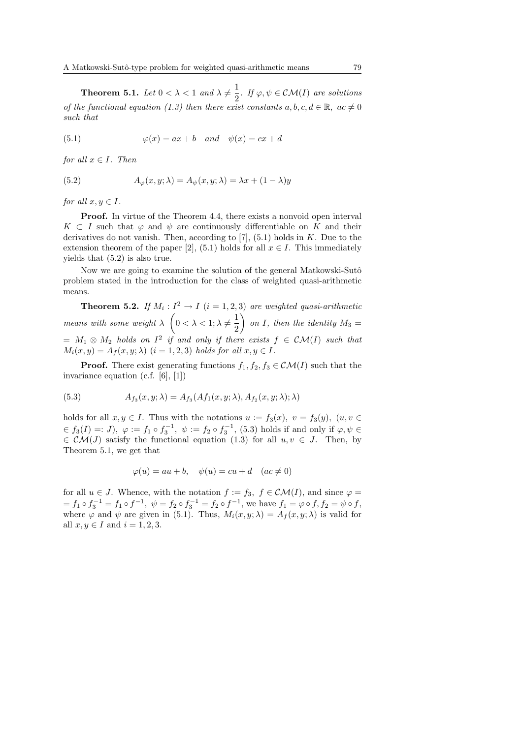**Theorem 5.1.** Let  $0 < \lambda < 1$  and  $\lambda \neq \frac{1}{2}$  $\frac{1}{2}$ . If  $\varphi, \psi \in \mathcal{CM}(I)$  are solutions of the functional equation (1.3) then there exist constants  $a, b, c, d \in \mathbb{R}$ ,  $ac \neq 0$ such that

(5.1) 
$$
\varphi(x) = ax + b \quad and \quad \psi(x) = cx + d
$$

for all  $x \in I$ . Then

(5.2) 
$$
A_{\varphi}(x, y; \lambda) = A_{\psi}(x, y; \lambda) = \lambda x + (1 - \lambda)y
$$

for all  $x, y \in I$ .

Proof. In virtue of the Theorem 4.4, there exists a nonvoid open interval  $K \subset I$  such that  $\varphi$  and  $\psi$  are continuously differentiable on K and their derivatives do not vanish. Then, according to  $[7]$ ,  $(5.1)$  holds in K. Due to the extension theorem of the paper [2], (5.1) holds for all  $x \in I$ . This immediately yields that (5.2) is also true.

Now we are going to examine the solution of the general Matkowski-Sutô problem stated in the introduction for the class of weighted quasi-arithmetic means.

**Theorem 5.2.** If  $M_i: I^2 \to I$   $(i = 1, 2, 3)$  are weighted quasi-arithmetic means with some weight  $\lambda \left(0 < \lambda < 1; \lambda \neq \frac{1}{2}\right)$  $\frac{1}{2}$  on I, then the identity  $M_3 =$  $= M_1 \otimes M_2$  holds on  $I^2$  if and only if there exists  $f \in \mathcal{CM}(I)$  such that  $M_i(x, y) = A_f(x, y; \lambda)$   $(i = 1, 2, 3)$  holds for all  $x, y \in I$ .

**Proof.** There exist generating functions  $f_1, f_2, f_3 \in \mathcal{CM}(I)$  such that the invariance equation (c.f. [6], [1])

(5.3) 
$$
A_{f_3}(x, y; \lambda) = A_{f_3}(Af_1(x, y; \lambda), A_{f_2}(x, y; \lambda); \lambda)
$$

holds for all  $x, y \in I$ . Thus with the notations  $u := f_3(x), v = f_3(y), (u, v \in$  $\epsilon \in f_3(I) =: J$ ,  $\varphi := f_1 \circ f_3^{-1}$ ,  $\psi := f_2 \circ f_3^{-1}$ , (5.3) holds if and only if  $\varphi, \psi \in$  $\in \mathcal{CM}(J)$  satisfy the functional equation (1.3) for all  $u, v \in J$ . Then, by Theorem 5.1, we get that

$$
\varphi(u) = au + b, \quad \psi(u) = cu + d \quad (ac \neq 0)
$$

for all  $u \in J$ . Whence, with the notation  $f := f_3, f \in \mathcal{CM}(I)$ , and since  $\varphi =$  $f_1 = f_1 \circ f_3^{-1} = f_1 \circ f^{-1}, \ \psi = f_2 \circ f_3^{-1} = f_2 \circ f^{-1}, \text{ we have } f_1 = \varphi \circ f, f_2 = \psi \circ f,$ where  $\varphi$  and  $\psi$  are given in (5.1). Thus,  $M_i(x, y; \lambda) = A_f(x, y; \lambda)$  is valid for all  $x, y \in I$  and  $i = 1, 2, 3$ .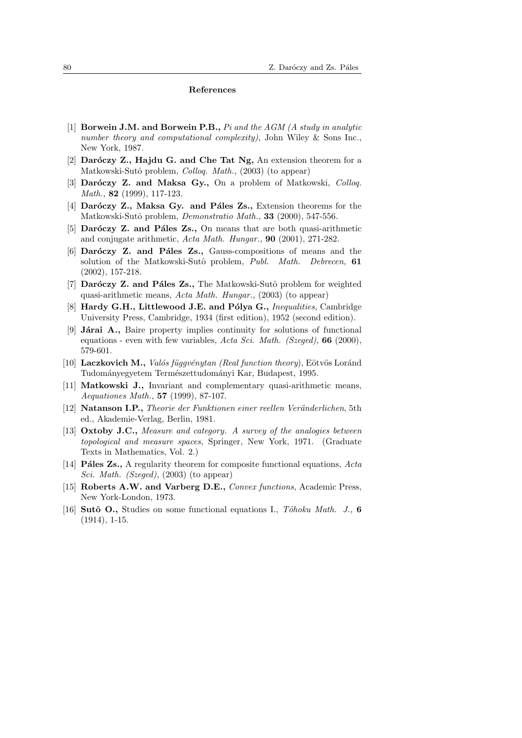#### References

- [1] Borwein J.M. and Borwein P.B.,  $Pi$  and the AGM (A study in analytic number theory and computational complexity), John Wiley & Sons Inc., New York, 1987.
- [2] Daróczy Z., Hajdu G. and Che Tat Ng, An extension theorem for a Matkowski-Sutô problem, *Colloq. Math.*, (2003) (to appear)
- [3] Dar $\acute{o}czy$  Z. and Maksa Gy., On a problem of Matkowski, *Colloq.* Math., **82** (1999), 117-123.
- [4] Daróczy Z., Maksa Gy. and Páles Zs., Extension theorems for the Matkowski-Sutô problem, *Demonstratio Math.*, **33** (2000), 547-556.
- [5] Daróczy Z. and Páles Zs., On means that are both quasi-arithmetic and conjugate arithmetic, Acta Math. Hungar., 90 (2001), 271-282.
- [6] Daróczy Z. and Páles Zs., Gauss-compositions of means and the solution of the Matkowski-Sutô problem, Publ. Math. Debrecen, 61 (2002), 157-218.
- [7] Dar $\acute{o}czy$  Z. and Páles Zs., The Matkowski-Sutô problem for weighted quasi-arithmetic means, Acta Math. Hungar., (2003) (to appear)
- [8] Hardy G.H., Littlewood J.E. and Pólya G., Inequalities, Cambridge University Press, Cambridge, 1934 (first edition), 1952 (second edition).
- [9] **Járai A.**, Baire property implies continuity for solutions of functional equations - even with few variables, Acta Sci. Math. (Szeged),  $66$  (2000), 579-601.
- [10] Laczkovich M., *Valós függvénytan (Real function theory)*, Eötvös Loránd Tudományegyetem Természettudományi Kar, Budapest, 1995.
- [11] Matkowski J., Invariant and complementary quasi-arithmetic means, Aequationes Math., 57 (1999), 87-107.
- [12] Natanson I.P., Theorie der Funktionen einer reellen Veränderlichen, 5th ed., Akademie-Verlag, Berlin, 1981.
- [13] Oxtoby J.C., Measure and category. A survey of the analogies between topological and measure spaces, Springer, New York, 1971. (Graduate Texts in Mathematics, Vol. 2.)
- [14] **Páles Zs.**, A regularity theorem for composite functional equations,  $Acta$ Sci. Math. (Szeged), (2003) (to appear)
- [15] Roberts A.W. and Varberg D.E., Convex functions, Academic Press, New York-London, 1973.
- [16] Sutô O., Studies on some functional equations I., Tôhoku Math. J., 6 (1914), 1-15.